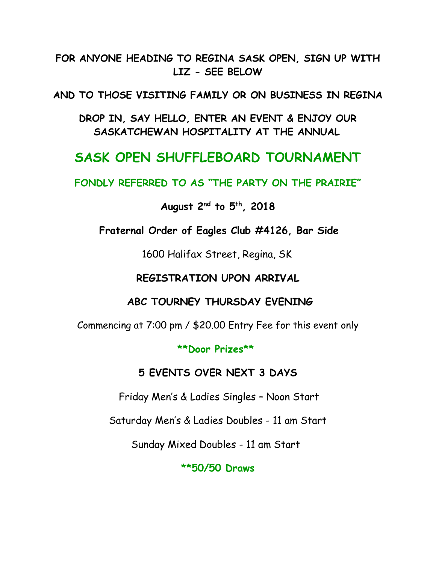#### **FOR ANYONE HEADING TO REGINA SASK OPEN, SIGN UP WITH LIZ - SEE BELOW**

**AND TO THOSE VISITING FAMILY OR ON BUSINESS IN REGINA**

**DROP IN, SAY HELLO, ENTER AN EVENT & ENJOY OUR SASKATCHEWAN HOSPITALITY AT THE ANNUAL**

# **SASK OPEN SHUFFLEBOARD TOURNAMENT**

**FONDLY REFERRED TO AS "THE PARTY ON THE PRAIRIE"**

#### **August 2nd to 5th, 2018**

**Fraternal Order of Eagles Club #4126, Bar Side**

1600 Halifax Street, Regina, SK

#### **REGISTRATION UPON ARRIVAL**

#### **ABC TOURNEY THURSDAY EVENING**

Commencing at 7:00 pm / \$20.00 Entry Fee for this event only

**\*\*Door Prizes\*\***

## **5 EVENTS OVER NEXT 3 DAYS**

Friday Men's & Ladies Singles – Noon Start

Saturday Men's & Ladies Doubles - 11 am Start

Sunday Mixed Doubles - 11 am Start

**\*\*50/50 Draws**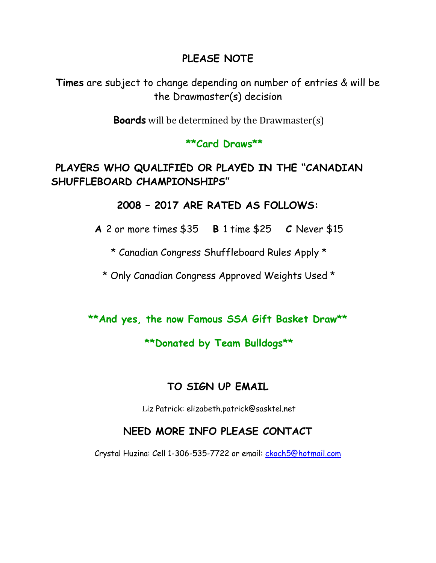## **PLEASE NOTE**

**Times** are subject to change depending on number of entries & will be the Drawmaster(s) decision

**Boards** will be determined by the Drawmaster(s)

#### **\*\*Card Draws\*\***

 **PLAYERS WHO QUALIFIED OR PLAYED IN THE "CANADIAN SHUFFLEBOARD CHAMPIONSHIPS"**

#### **2008 – 2017 ARE RATED AS FOLLOWS:**

**A** 2 or more times \$35 **B** 1 time \$25 **C** Never \$15

\* Canadian Congress Shuffleboard Rules Apply \*

\* Only Canadian Congress Approved Weights Used \*

#### **\*\*And yes, the now Famous SSA Gift Basket Draw\*\***

## **\*\*Donated by Team Bulldogs\*\***

## **TO SIGN UP EMAIL**

Liz Patrick: elizabeth.patrick@sasktel.net

## **NEED MORE INFO PLEASE CONTACT**

Crystal Huzina: Cell 1-306-535-7722 or email: *ckoch5@hotmail.com*